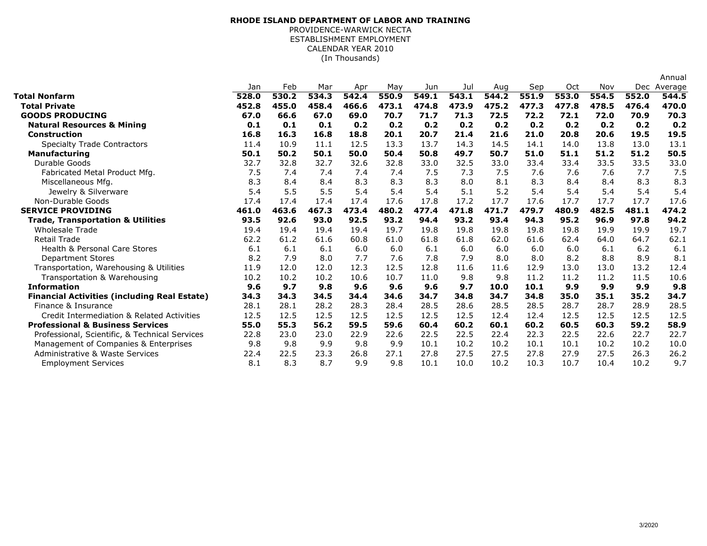## (In Thousands)**RHODE ISLAND DEPARTMENT OF LABOR AND TRAINING**PROVIDENCE-WARWICK NECTA ESTABLISHMENT EMPLOYMENTCALENDAR YEAR 2010

|                                                     |       |       |       |       |       |       |       |       |       |       |       |       | Annual      |
|-----------------------------------------------------|-------|-------|-------|-------|-------|-------|-------|-------|-------|-------|-------|-------|-------------|
|                                                     | Jan   | Feb   | Mar   | Apr   | May   | Jun   | Jul   | Aug   | Sep   | Oct   | Nov   |       | Dec Average |
| Total Nonfarm                                       | 528.0 | 530.2 | 534.3 | 542.4 | 550.9 | 549.1 | 543.1 | 544.2 | 551.9 | 553.0 | 554.5 | 552.0 | 544.5       |
| <b>Total Private</b>                                | 452.8 | 455.0 | 458.4 | 466.6 | 473.1 | 474.8 | 473.9 | 475.2 | 477.3 | 477.8 | 478.5 | 476.4 | 470.0       |
| <b>GOODS PRODUCING</b>                              | 67.0  | 66.6  | 67.0  | 69.0  | 70.7  | 71.7  | 71.3  | 72.5  | 72.2  | 72.1  | 72.0  | 70.9  | 70.3        |
| <b>Natural Resources &amp; Mining</b>               | 0.1   | 0.1   | 0.1   | 0.2   | 0.2   | 0.2   | 0.2   | 0.2   | 0.2   | 0.2   | 0.2   | 0.2   | 0.2         |
| <b>Construction</b>                                 | 16.8  | 16.3  | 16.8  | 18.8  | 20.1  | 20.7  | 21.4  | 21.6  | 21.0  | 20.8  | 20.6  | 19.5  | 19.5        |
| <b>Specialty Trade Contractors</b>                  | 11.4  | 10.9  | 11.1  | 12.5  | 13.3  | 13.7  | 14.3  | 14.5  | 14.1  | 14.0  | 13.8  | 13.0  | 13.1        |
| <b>Manufacturing</b>                                | 50.1  | 50.2  | 50.1  | 50.0  | 50.4  | 50.8  | 49.7  | 50.7  | 51.0  | 51.1  | 51.2  | 51.2  | 50.5        |
| Durable Goods                                       | 32.7  | 32.8  | 32.7  | 32.6  | 32.8  | 33.0  | 32.5  | 33.0  | 33.4  | 33.4  | 33.5  | 33.5  | 33.0        |
| Fabricated Metal Product Mfg.                       | 7.5   | 7.4   | 7.4   | 7.4   | 7.4   | 7.5   | 7.3   | 7.5   | 7.6   | 7.6   | 7.6   | 7.7   | 7.5         |
| Miscellaneous Mfg.                                  | 8.3   | 8.4   | 8.4   | 8.3   | 8.3   | 8.3   | 8.0   | 8.1   | 8.3   | 8.4   | 8.4   | 8.3   | 8.3         |
| Jewelry & Silverware                                | 5.4   | 5.5   | 5.5   | 5.4   | 5.4   | 5.4   | 5.1   | 5.2   | 5.4   | 5.4   | 5.4   | 5.4   | 5.4         |
| Non-Durable Goods                                   | 17.4  | 17.4  | 17.4  | 17.4  | 17.6  | 17.8  | 17.2  | 17.7  | 17.6  | 17.7  | 17.7  | 17.7  | 17.6        |
| <b>SERVICE PROVIDING</b>                            | 461.0 | 463.6 | 467.3 | 473.4 | 480.2 | 477.4 | 471.8 | 471.7 | 479.7 | 480.9 | 482.5 | 481.1 | 474.2       |
| <b>Trade, Transportation &amp; Utilities</b>        | 93.5  | 92.6  | 93.0  | 92.5  | 93.2  | 94.4  | 93.2  | 93.4  | 94.3  | 95.2  | 96.9  | 97.8  | 94.2        |
| <b>Wholesale Trade</b>                              | 19.4  | 19.4  | 19.4  | 19.4  | 19.7  | 19.8  | 19.8  | 19.8  | 19.8  | 19.8  | 19.9  | 19.9  | 19.7        |
| <b>Retail Trade</b>                                 | 62.2  | 61.2  | 61.6  | 60.8  | 61.0  | 61.8  | 61.8  | 62.0  | 61.6  | 62.4  | 64.0  | 64.7  | 62.1        |
| <b>Health &amp; Personal Care Stores</b>            | 6.1   | 6.1   | 6.1   | 6.0   | 6.0   | 6.1   | 6.0   | 6.0   | 6.0   | 6.0   | 6.1   | 6.2   | 6.1         |
| <b>Department Stores</b>                            | 8.2   | 7.9   | 8.0   | 7.7   | 7.6   | 7.8   | 7.9   | 8.0   | 8.0   | 8.2   | 8.8   | 8.9   | 8.1         |
| Transportation, Warehousing & Utilities             | 11.9  | 12.0  | 12.0  | 12.3  | 12.5  | 12.8  | 11.6  | 11.6  | 12.9  | 13.0  | 13.0  | 13.2  | 12.4        |
| Transportation & Warehousing                        | 10.2  | 10.2  | 10.2  | 10.6  | 10.7  | 11.0  | 9.8   | 9.8   | 11.2  | 11.2  | 11.2  | 11.5  | 10.6        |
| <b>Information</b>                                  | 9.6   | 9.7   | 9.8   | 9.6   | 9.6   | 9.6   | 9.7   | 10.0  | 10.1  | 9.9   | 9.9   | 9.9   | 9.8         |
| <b>Financial Activities (including Real Estate)</b> | 34.3  | 34.3  | 34.5  | 34.4  | 34.6  | 34.7  | 34.8  | 34.7  | 34.8  | 35.0  | 35.1  | 35.2  | 34.7        |
| Finance & Insurance                                 | 28.1  | 28.1  | 28.2  | 28.3  | 28.4  | 28.5  | 28.6  | 28.5  | 28.5  | 28.7  | 28.7  | 28.9  | 28.5        |
| Credit Intermediation & Related Activities          | 12.5  | 12.5  | 12.5  | 12.5  | 12.5  | 12.5  | 12.5  | 12.4  | 12.4  | 12.5  | 12.5  | 12.5  | 12.5        |
| <b>Professional &amp; Business Services</b>         | 55.0  | 55.3  | 56.2  | 59.5  | 59.6  | 60.4  | 60.2  | 60.1  | 60.2  | 60.5  | 60.3  | 59.2  | 58.9        |
| Professional, Scientific, & Technical Services      | 22.8  | 23.0  | 23.0  | 22.9  | 22.6  | 22.5  | 22.5  | 22.4  | 22.3  | 22.5  | 22.6  | 22.7  | 22.7        |
| Management of Companies & Enterprises               | 9.8   | 9.8   | 9.9   | 9.8   | 9.9   | 10.1  | 10.2  | 10.2  | 10.1  | 10.1  | 10.2  | 10.2  | 10.0        |
| Administrative & Waste Services                     | 22.4  | 22.5  | 23.3  | 26.8  | 27.1  | 27.8  | 27.5  | 27.5  | 27.8  | 27.9  | 27.5  | 26.3  | 26.2        |
| <b>Employment Services</b>                          | 8.1   | 8.3   | 8.7   | 9.9   | 9.8   | 10.1  | 10.0  | 10.2  | 10.3  | 10.7  | 10.4  | 10.2  | 9.7         |
|                                                     |       |       |       |       |       |       |       |       |       |       |       |       |             |